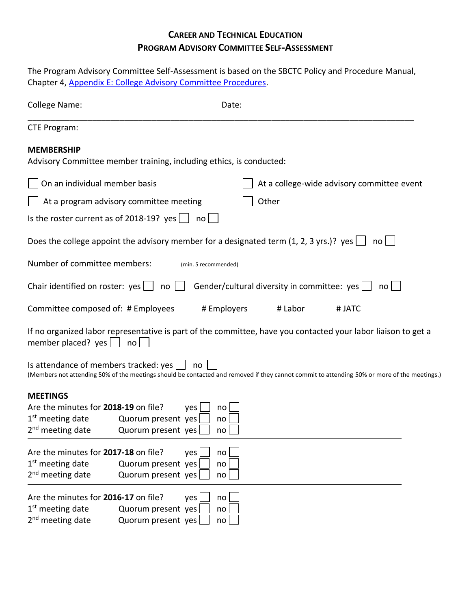## **CAREER AND TECHNICAL EDUCATION PROGRAM ADVISORY COMMITTEE SELF-ASSESSMENT**

| The Program Advisory Committee Self-Assessment is based on the SBCTC Policy and Procedure Manual,<br>Chapter 4, Appendix E: College Advisory Committee Procedures. |                                                                     |                                                                                                                                                       |  |  |
|--------------------------------------------------------------------------------------------------------------------------------------------------------------------|---------------------------------------------------------------------|-------------------------------------------------------------------------------------------------------------------------------------------------------|--|--|
| College Name:                                                                                                                                                      |                                                                     | Date:                                                                                                                                                 |  |  |
| <b>CTE Program:</b>                                                                                                                                                |                                                                     |                                                                                                                                                       |  |  |
| <b>MEMBERSHIP</b>                                                                                                                                                  | Advisory Committee member training, including ethics, is conducted: |                                                                                                                                                       |  |  |
| On an individual member basis                                                                                                                                      |                                                                     | At a college-wide advisory committee event                                                                                                            |  |  |
|                                                                                                                                                                    | At a program advisory committee meeting                             | Other                                                                                                                                                 |  |  |
|                                                                                                                                                                    | Is the roster current as of 2018-19? yes $\Box$                     | no                                                                                                                                                    |  |  |
|                                                                                                                                                                    |                                                                     | Does the college appoint the advisory member for a designated term $(1, 2, 3 \text{ yrs.})$ ? yes $\Box$<br>no l                                      |  |  |
| Number of committee members:                                                                                                                                       |                                                                     | (min. 5 recommended)                                                                                                                                  |  |  |
| Chair identified on roster: $yes$                                                                                                                                  | no                                                                  | Gender/cultural diversity in committee: yes  <br>no <sub>l</sub>                                                                                      |  |  |
| Committee composed of: # Employees                                                                                                                                 |                                                                     | # Employers<br># Labor<br># JATC                                                                                                                      |  |  |
| member placed? $yes$                                                                                                                                               | no <sub>l</sub>                                                     | If no organized labor representative is part of the committee, have you contacted your labor liaison to get a                                         |  |  |
|                                                                                                                                                                    | Is attendance of members tracked: $yes \mid \cdot$                  | $no$  <br>(Members not attending 50% of the meetings should be contacted and removed if they cannot commit to attending 50% or more of the meetings.) |  |  |
| <b>MEETINGS</b>                                                                                                                                                    |                                                                     |                                                                                                                                                       |  |  |
| Are the minutes for 2018-19 on file?                                                                                                                               | yes                                                                 | no                                                                                                                                                    |  |  |
| $1st$ meeting date<br>2 <sup>nd</sup> meeting date                                                                                                                 | Quorum present yes                                                  | no                                                                                                                                                    |  |  |
|                                                                                                                                                                    | Quorum present yes                                                  | no                                                                                                                                                    |  |  |
| Are the minutes for 2017-18 on file?                                                                                                                               | yes                                                                 | no                                                                                                                                                    |  |  |
| $1st$ meeting date                                                                                                                                                 | Quorum present yes                                                  | no                                                                                                                                                    |  |  |
| 2 <sup>nd</sup> meeting date                                                                                                                                       | Quorum present yes                                                  | no                                                                                                                                                    |  |  |
| Are the minutes for 2016-17 on file?                                                                                                                               | yes                                                                 | no                                                                                                                                                    |  |  |
| $1st$ meeting date                                                                                                                                                 | Quorum present yes                                                  | no                                                                                                                                                    |  |  |
| 2 <sup>nd</sup> meeting date                                                                                                                                       | Quorum present yes                                                  | no                                                                                                                                                    |  |  |